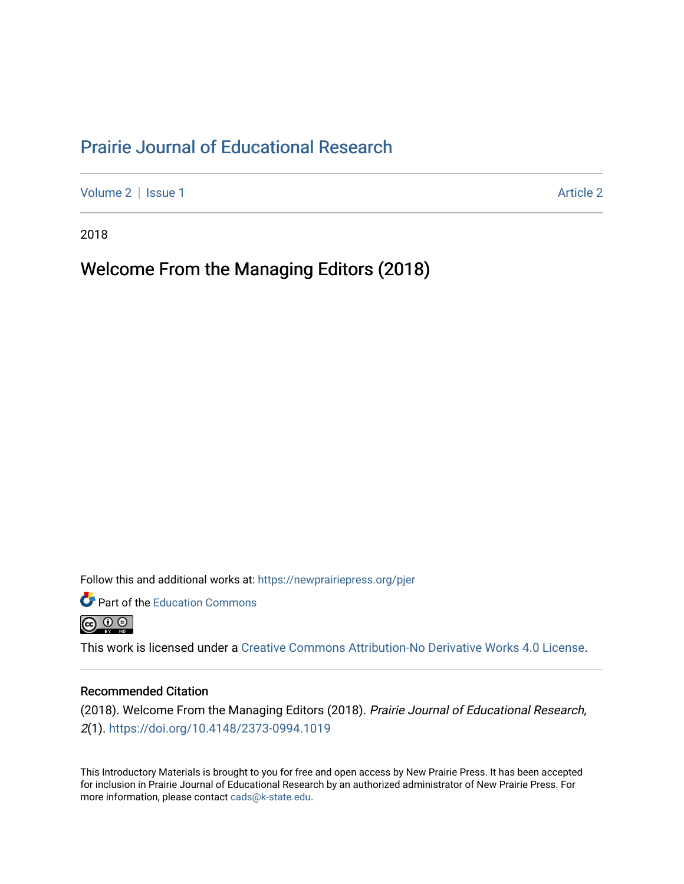## [Prairie Journal of Educational Research](https://newprairiepress.org/pjer)

[Volume 2](https://newprairiepress.org/pjer/vol2) | [Issue 1](https://newprairiepress.org/pjer/vol2/iss1) [Article 2](https://newprairiepress.org/pjer/vol2/iss1/2) | Article 2 Article 2 | Article 2 | Article 2 | Article 2 | Article 2 | Article 2

2018

Welcome From the Managing Editors (2018)

Follow this and additional works at: [https://newprairiepress.org/pjer](https://newprairiepress.org/pjer?utm_source=newprairiepress.org%2Fpjer%2Fvol2%2Fiss1%2F2&utm_medium=PDF&utm_campaign=PDFCoverPages) 

Part of the [Education Commons](http://network.bepress.com/hgg/discipline/784?utm_source=newprairiepress.org%2Fpjer%2Fvol2%2Fiss1%2F2&utm_medium=PDF&utm_campaign=PDFCoverPages)



This work is licensed under a [Creative Commons Attribution-No Derivative Works 4.0 License.](https://creativecommons.org/licenses/by-nd/4.0/)

#### Recommended Citation

(2018). Welcome From the Managing Editors (2018). Prairie Journal of Educational Research, 2(1). <https://doi.org/10.4148/2373-0994.1019>

This Introductory Materials is brought to you for free and open access by New Prairie Press. It has been accepted for inclusion in Prairie Journal of Educational Research by an authorized administrator of New Prairie Press. For more information, please contact [cads@k-state.edu](mailto:cads@k-state.edu).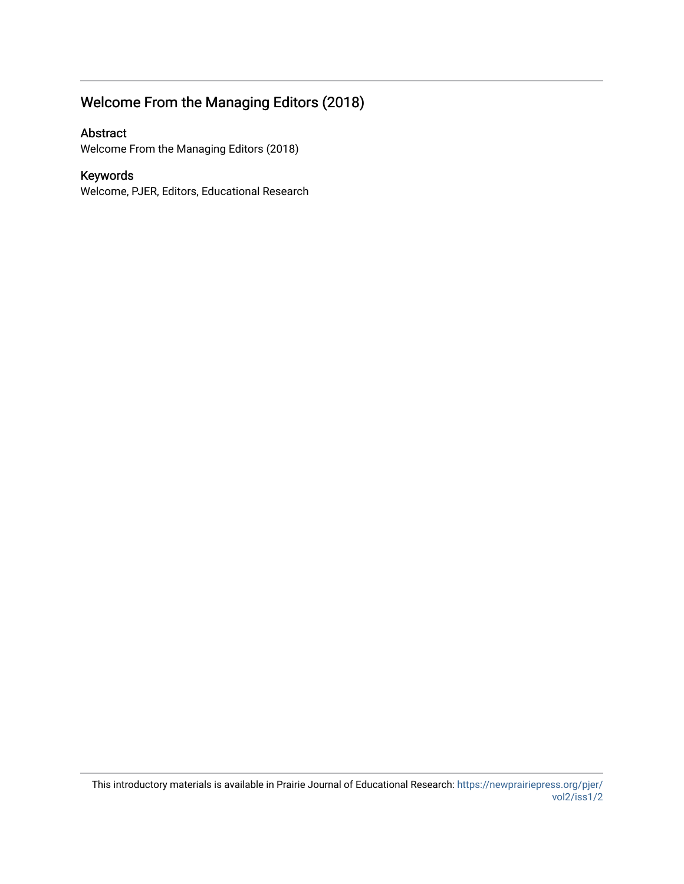# Welcome From the Managing Editors (2018)

#### Abstract

Welcome From the Managing Editors (2018)

### Keywords

Welcome, PJER, Editors, Educational Research